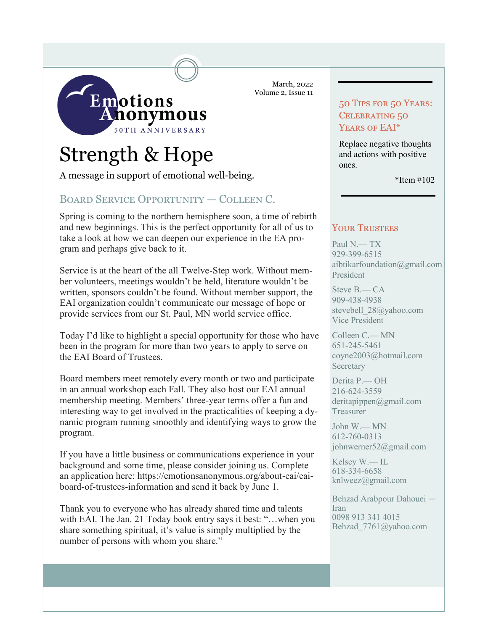

# Strength & Hope

A message in support of emotional well-being.

# Board Service Opportunity — Colleen C.

Spring is coming to the northern hemisphere soon, a time of rebirth and new beginnings. This is the perfect opportunity for all of us to take a look at how we can deepen our experience in the EA program and perhaps give back to it.

Service is at the heart of the all Twelve-Step work. Without member volunteers, meetings wouldn't be held, literature wouldn't be written, sponsors couldn't be found. Without member support, the EAI organization couldn't communicate our message of hope or provide services from our St. Paul, MN world service office.

Today I'd like to highlight a special opportunity for those who have been in the program for more than two years to apply to serve on the EAI Board of Trustees.

Board members meet remotely every month or two and participate in an annual workshop each Fall. They also host our EAI annual membership meeting. Members' three-year terms offer a fun and interesting way to get involved in the practicalities of keeping a dynamic program running smoothly and identifying ways to grow the program.

If you have a little business or communications experience in your background and some time, please consider joining us. Complete an application here: https://emotionsanonymous.org/about-eai/eaiboard-of-trustees-information and send it back by June 1.

Thank you to everyone who has already shared time and talents with EAI. The Jan. 21 Today book entry says it best: "…when you share something spiritual, it's value is simply multiplied by the number of persons with whom you share."

March, 2022 Volume 2, Issue 11

# 50 Tips for 50 Years: CELEBRATING 50 YEARS OF EAI\*

Replace negative thoughts and actions with positive ones.

\*Item #102

# YOUR TRUSTEES

Paul N.— TX 929-399-6515 aibtikarfoundation@gmail.com President

Steve B.— CA 909-438-4938 stevebell\_28@yahoo.com Vice President

Colleen C.— MN 651-245-5461 coyne2003@hotmail.com Secretary

Derita P.— OH 216-624-3559 deritapippen@gmail.com Treasurer

John W.— MN 612-760-0313 johnwerner52@gmail.com

Kelsey W.— IL 618-334-6658 knlweez@gmail.com

Behzad Arabpour Dahouei — Iran 0098 913 341 4015 Behzad\_7761@yahoo.com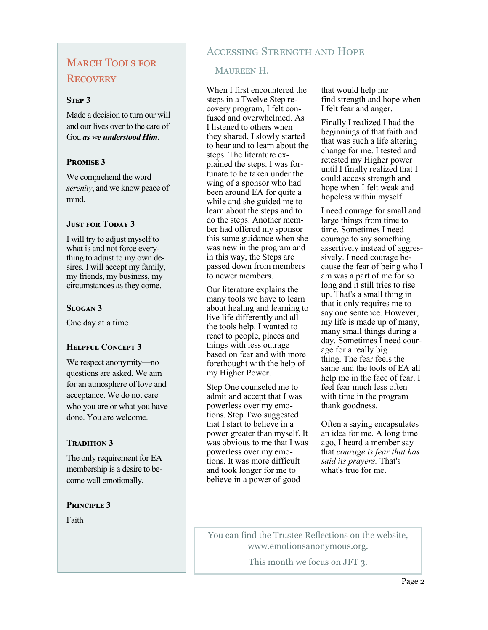# **MARCH TOOLS FOR RECOVERY**

#### **STEP 3**

Made a decision to turn our will and our lives over to the care of God *as we understood Him***.**

## **Promise 3**

We comprehend the word *serenity*, and we know peace of mind.

#### **JUST FOR TODAY 3**

I will try to adjust myself to what is and not force everything to adjust to my own desires. I will accept my family, my friends, my business, my circumstances as they come.

## **Slogan 3**

One day at a time

## **Helpful Concept 3**

We respect anonymity—no questions are asked. We aim for an atmosphere of love and acceptance. We do not care who you are or what you have done. You are welcome.

# **Tradition 3**

The only requirement for EA membership is a desire to become well emotionally.

#### **Principle 3**

Faith

# Accessing Strength and Hope

# —Maureen H.

When I first encountered the steps in a Twelve Step recovery program, I felt confused and overwhelmed. As I listened to others when they shared, I slowly started to hear and to learn about the steps. The literature explained the steps. I was fortunate to be taken under the wing of a sponsor who had been around EA for quite a while and she guided me to learn about the steps and to do the steps. Another member had offered my sponsor this same guidance when she was new in the program and in this way, the Steps are passed down from members to newer members.

Our literature explains the many tools we have to learn about healing and learning to live life differently and all the tools help. I wanted to react to people, places and things with less outrage based on fear and with more forethought with the help of my Higher Power.

Step One counseled me to admit and accept that I was powerless over my emotions. Step Two suggested that I start to believe in a power greater than myself. It was obvious to me that I was powerless over my emotions. It was more difficult and took longer for me to believe in a power of good

that would help me find strength and hope when I felt fear and anger.

Finally I realized I had the beginnings of that faith and that was such a life altering change for me. I tested and retested my Higher power until I finally realized that I could access strength and hope when I felt weak and hopeless within myself.

I need courage for small and large things from time to time. Sometimes I need courage to say something assertively instead of aggressively. I need courage because the fear of being who I am was a part of me for so long and it still tries to rise up. That's a small thing in that it only requires me to say one sentence. However, my life is made up of many, many small things during a day. Sometimes I need courage for a really big thing. The fear feels the same and the tools of EA all help me in the face of fear. I feel fear much less often with time in the program thank goodness.

Often a saying encapsulates an idea for me. A long time ago, I heard a member say that *courage is fear that has said its prayers.* That's what's true for me.

You can find the Trustee Reflections on the website, www.emotionsanonymous.org.

This month we focus on JFT 3.